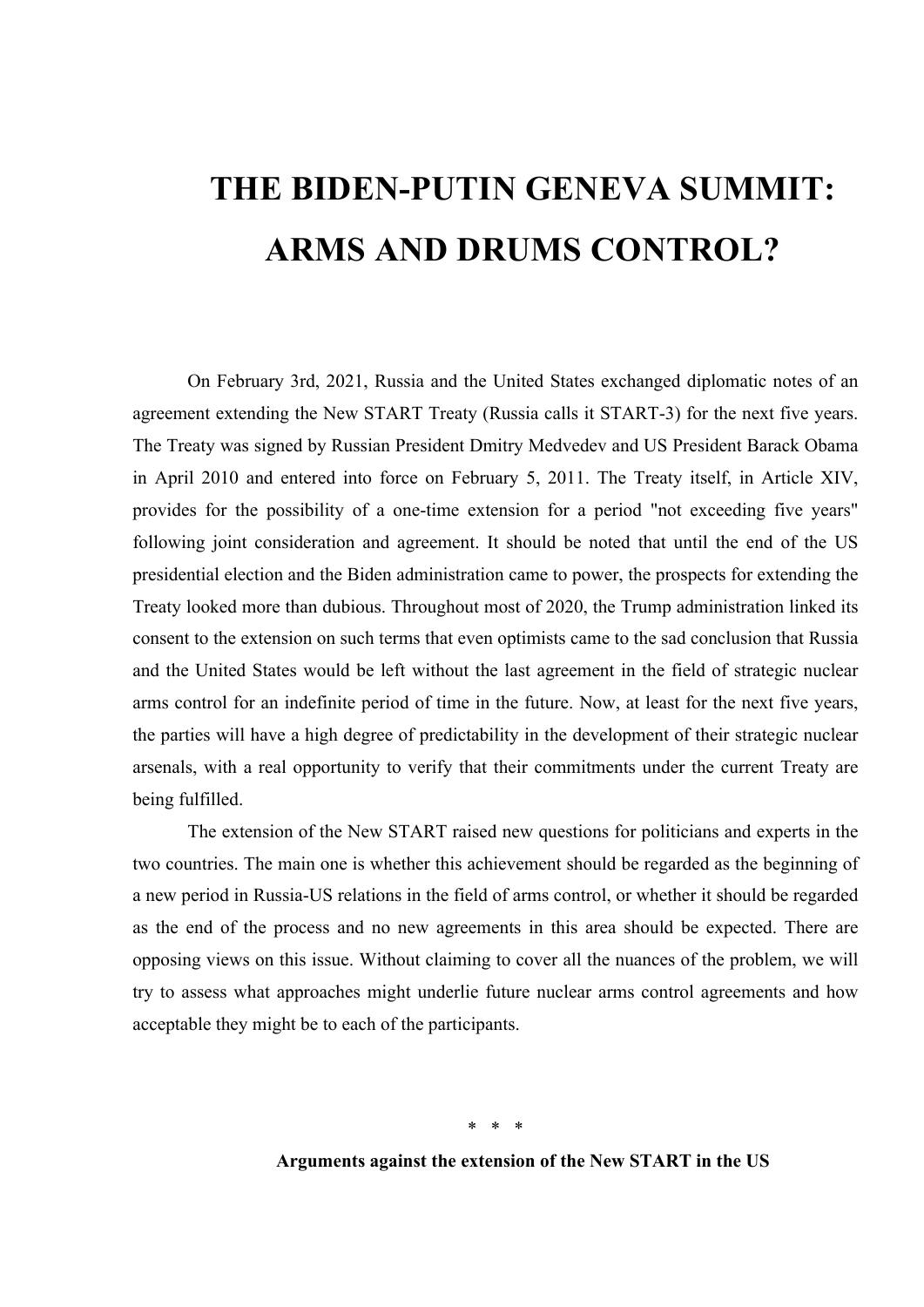# **THE BIDEN-PUTIN GENEVA SUMMIT: ARMS AND DRUMS CONTROL?**

On February 3rd, 2021, Russia and the United States exchanged diplomatic notes of an agreement extending the New START Treaty (Russia calls it START-3) for the next five years. The Treaty was signed by Russian President Dmitry Medvedev and US President Barack Obama in April 2010 and entered into force on February 5, 2011. The Treaty itself, in Article XIV, provides for the possibility of a one-time extension for a period "not exceeding five years" following joint consideration and agreement. It should be noted that until the end of the US presidential election and the Biden administration came to power, the prospects for extending the Treaty looked more than dubious. Throughout most of 2020, the Trump administration linked its consent to the extension on such terms that even optimists came to the sad conclusion that Russia and the United States would be left without the last agreement in the field of strategic nuclear arms control for an indefinite period of time in the future. Now, at least for the next five years, the parties will have a high degree of predictability in the development of their strategic nuclear arsenals, with a real opportunity to verify that their commitments under the current Treaty are being fulfilled.

The extension of the New START raised new questions for politicians and experts in the two countries. The main one is whether this achievement should be regarded as the beginning of a new period in Russia-US relations in the field of arms control, or whether it should be regarded as the end of the process and no new agreements in this area should be expected. There are opposing views on this issue. Without claiming to cover all the nuances of the problem, we will try to assess what approaches might underlie future nuclear arms control agreements and how acceptable they might be to each of the participants.

\* \* \*

**Arguments against the extension of the New START in the US**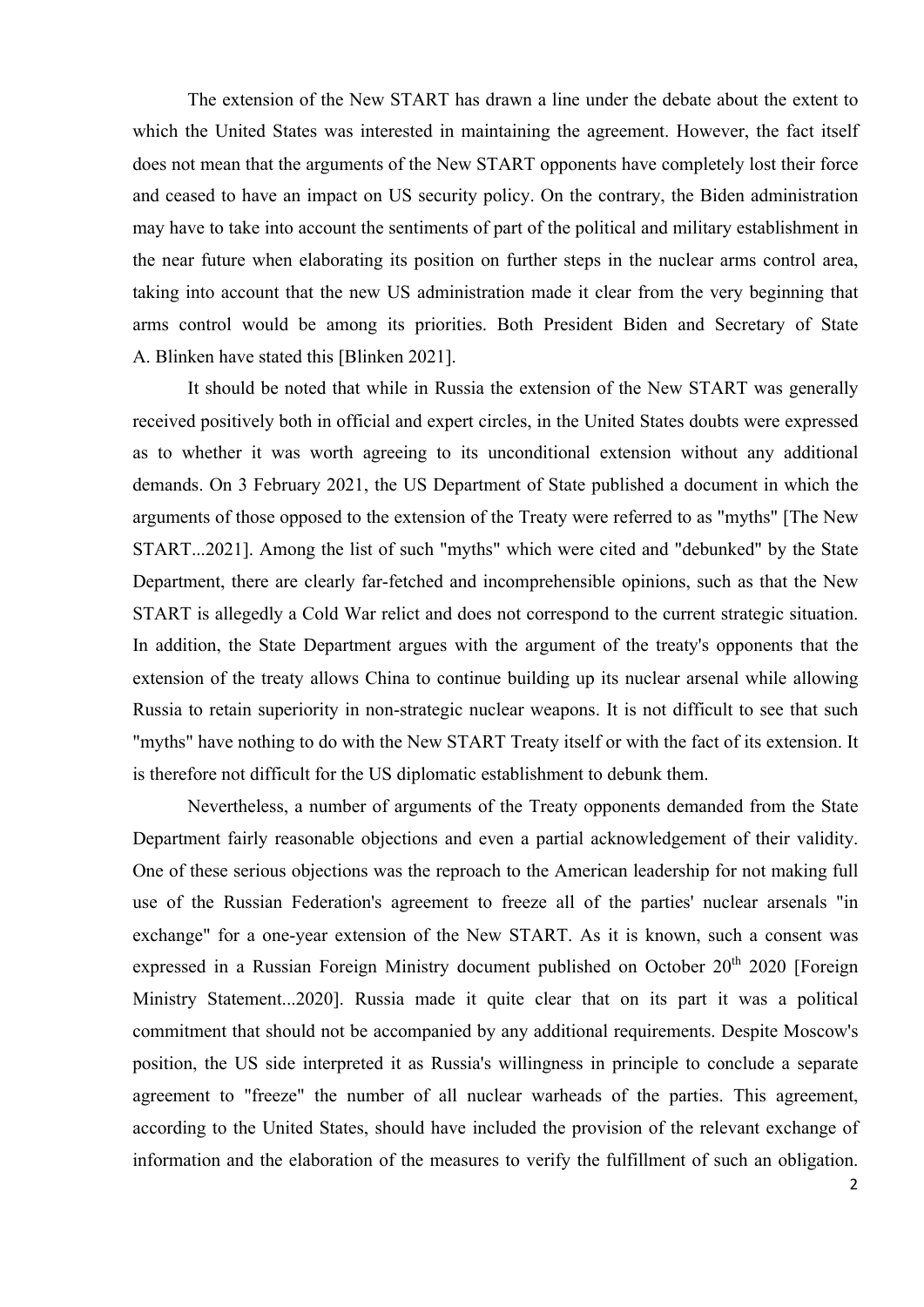The extension of the New START has drawn a line under the debate about the extent to which the United States was interested in maintaining the agreement. However, the fact itself does not mean that the arguments of the New START opponents have completely lost their force and ceased to have an impact on US security policy. On the contrary, the Biden administration may have to take into account the sentiments of part of the political and military establishment in the near future when elaborating its position on further steps in the nuclear arms control area, taking into account that the new US administration made it clear from the very beginning that arms control would be among its priorities. Both President Biden and Secretary of State A. Blinken have stated this [Blinken 2021].

It should be noted that while in Russia the extension of the New START was generally received positively both in official and expert circles, in the United States doubts were expressed as to whether it was worth agreeing to its unconditional extension without any additional demands. On 3 February 2021, the US Department of State published a document in which the arguments of those opposed to the extension of the Treaty were referred to as "myths" [The New START...2021]. Among the list of such "myths" which were cited and "debunked" by the State Department, there are clearly far-fetched and incomprehensible opinions, such as that the New START is allegedly a Cold War relict and does not correspond to the current strategic situation. In addition, the State Department argues with the argument of the treaty's opponents that the extension of the treaty allows China to continue building up its nuclear arsenal while allowing Russia to retain superiority in non-strategic nuclear weapons. It is not difficult to see that such "myths" have nothing to do with the New START Treaty itself or with the fact of its extension. It is therefore not difficult for the US diplomatic establishment to debunk them.

Nevertheless, a number of arguments of the Treaty opponents demanded from the State Department fairly reasonable objections and even a partial acknowledgement of their validity. One of these serious objections was the reproach to the American leadership for not making full use of the Russian Federation's agreement to freeze all of the parties' nuclear arsenals "in exchange" for a one-year extension of the New START. As it is known, such a consent was expressed in a Russian Foreign Ministry document published on October 20<sup>th</sup> 2020 [Foreign Ministry Statement...2020]. Russia made it quite clear that on its part it was a political commitment that should not be accompanied by any additional requirements. Despite Moscow's position, the US side interpreted it as Russia's willingness in principle to conclude a separate agreement to "freeze" the number of all nuclear warheads of the parties. This agreement, according to the United States, should have included the provision of the relevant exchange of information and the elaboration of the measures to verify the fulfillment of such an obligation.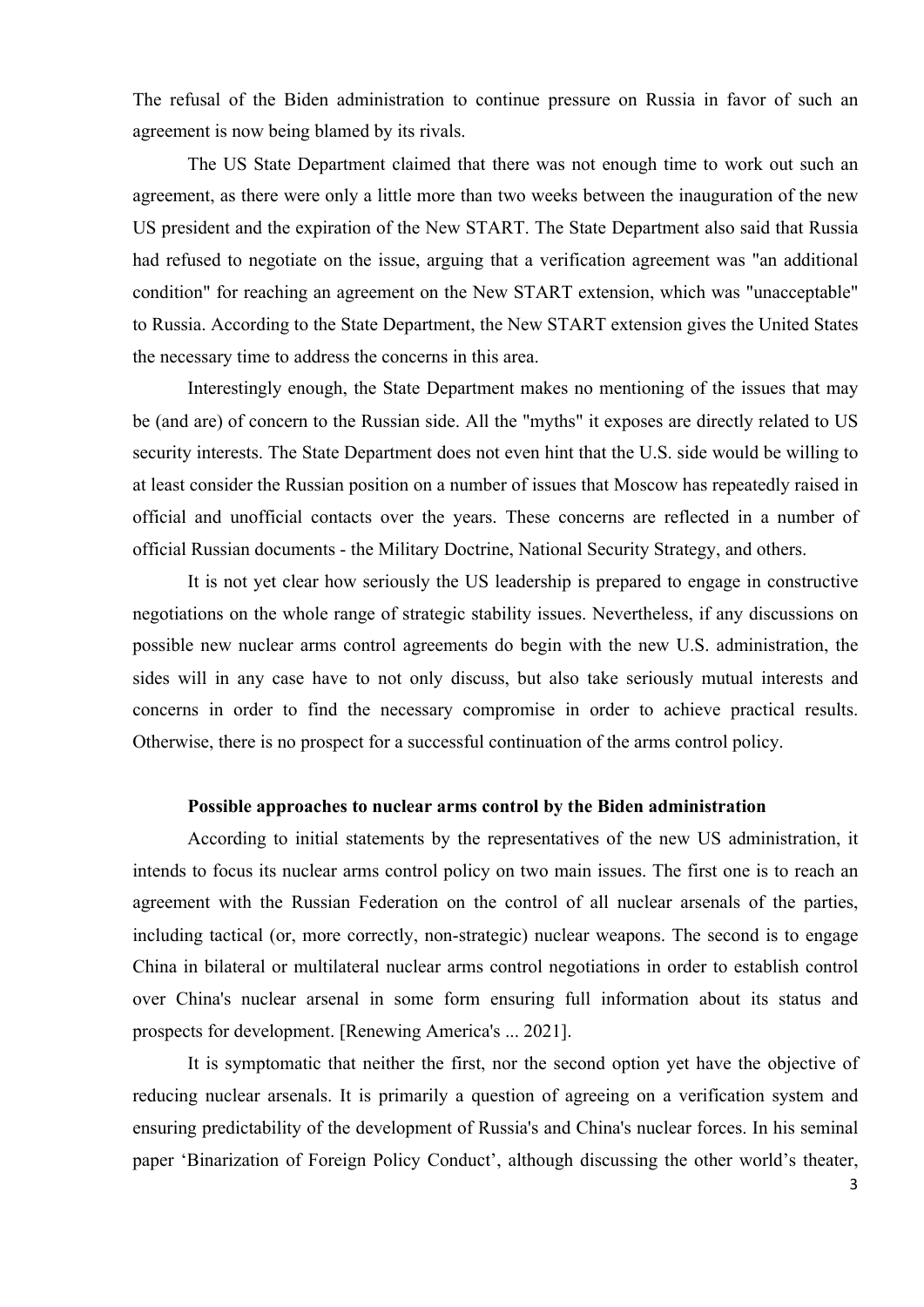The refusal of the Biden administration to continue pressure on Russia in favor of such an agreement is now being blamed by its rivals.

The US State Department claimed that there was not enough time to work out such an agreement, as there were only a little more than two weeks between the inauguration of the new US president and the expiration of the New START. The State Department also said that Russia had refused to negotiate on the issue, arguing that a verification agreement was "an additional condition" for reaching an agreement on the New START extension, which was "unacceptable" to Russia. According to the State Department, the New START extension gives the United States the necessary time to address the concerns in this area.

Interestingly enough, the State Department makes no mentioning of the issues that may be (and are) of concern to the Russian side. All the "myths" it exposes are directly related to US security interests. The State Department does not even hint that the U.S. side would be willing to at least consider the Russian position on a number of issues that Moscow has repeatedly raised in official and unofficial contacts over the years. These concerns are reflected in a number of official Russian documents - the Military Doctrine, National Security Strategy, and others.

It is not yet clear how seriously the US leadership is prepared to engage in constructive negotiations on the whole range of strategic stability issues. Nevertheless, if any discussions on possible new nuclear arms control agreements do begin with the new U.S. administration, the sides will in any case have to not only discuss, but also take seriously mutual interests and concerns in order to find the necessary compromise in order to achieve practical results. Otherwise, there is no prospect for a successful continuation of the arms control policy.

## **Possible approaches to nuclear arms control by the Biden administration**

According to initial statements by the representatives of the new US administration, it intends to focus its nuclear arms control policy on two main issues. The first one is to reach an agreement with the Russian Federation on the control of all nuclear arsenals of the parties, including tactical (or, more correctly, non-strategic) nuclear weapons. The second is to engage China in bilateral or multilateral nuclear arms control negotiations in order to establish control over China's nuclear arsenal in some form ensuring full information about its status and prospects for development. [Renewing America's ... 2021].

It is symptomatic that neither the first, nor the second option yet have the objective of reducing nuclear arsenals. It is primarily a question of agreeing on a verification system and ensuring predictability of the development of Russia's and China's nuclear forces. In his seminal paper 'Binarization of Foreign Policy Conduct', although discussing the other world's theater,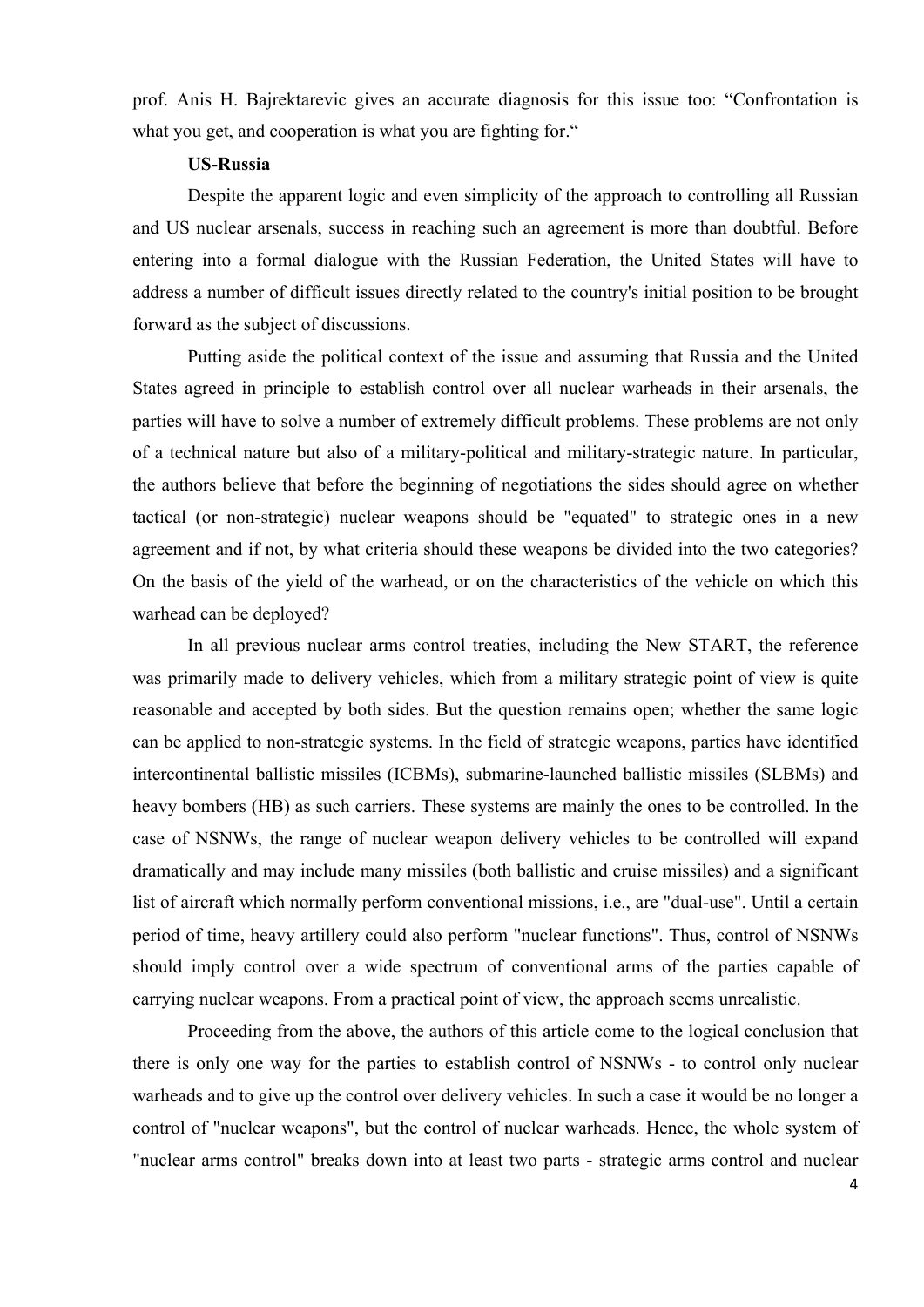prof. Anis H. Bajrektarevic gives an accurate diagnosis for this issue too: "Confrontation is what you get, and cooperation is what you are fighting for."

# **US-Russia**

Despite the apparent logic and even simplicity of the approach to controlling all Russian and US nuclear arsenals, success in reaching such an agreement is more than doubtful. Before entering into a formal dialogue with the Russian Federation, the United States will have to address a number of difficult issues directly related to the country's initial position to be brought forward as the subject of discussions.

Putting aside the political context of the issue and assuming that Russia and the United States agreed in principle to establish control over all nuclear warheads in their arsenals, the parties will have to solve a number of extremely difficult problems. These problems are not only of a technical nature but also of a military-political and military-strategic nature. In particular, the authors believe that before the beginning of negotiations the sides should agree on whether tactical (or non-strategic) nuclear weapons should be "equated" to strategic ones in a new agreement and if not, by what criteria should these weapons be divided into the two categories? On the basis of the yield of the warhead, or on the characteristics of the vehicle on which this warhead can be deployed?

In all previous nuclear arms control treaties, including the New START, the reference was primarily made to delivery vehicles, which from a military strategic point of view is quite reasonable and accepted by both sides. But the question remains open; whether the same logic can be applied to non-strategic systems. In the field of strategic weapons, parties have identified intercontinental ballistic missiles (ICBMs), submarine-launched ballistic missiles (SLBMs) and heavy bombers (HB) as such carriers. These systems are mainly the ones to be controlled. In the case of NSNWs, the range of nuclear weapon delivery vehicles to be controlled will expand dramatically and may include many missiles (both ballistic and cruise missiles) and a significant list of aircraft which normally perform conventional missions, i.e., are "dual-use". Until a certain period of time, heavy artillery could also perform "nuclear functions". Thus, control of NSNWs should imply control over a wide spectrum of conventional arms of the parties capable of carrying nuclear weapons. From a practical point of view, the approach seems unrealistic.

Proceeding from the above, the authors of this article come to the logical conclusion that there is only one way for the parties to establish control of NSNWs - to control only nuclear warheads and to give up the control over delivery vehicles. In such a case it would be no longer a control of "nuclear weapons", but the control of nuclear warheads. Hence, the whole system of "nuclear arms control" breaks down into at least two parts - strategic arms control and nuclear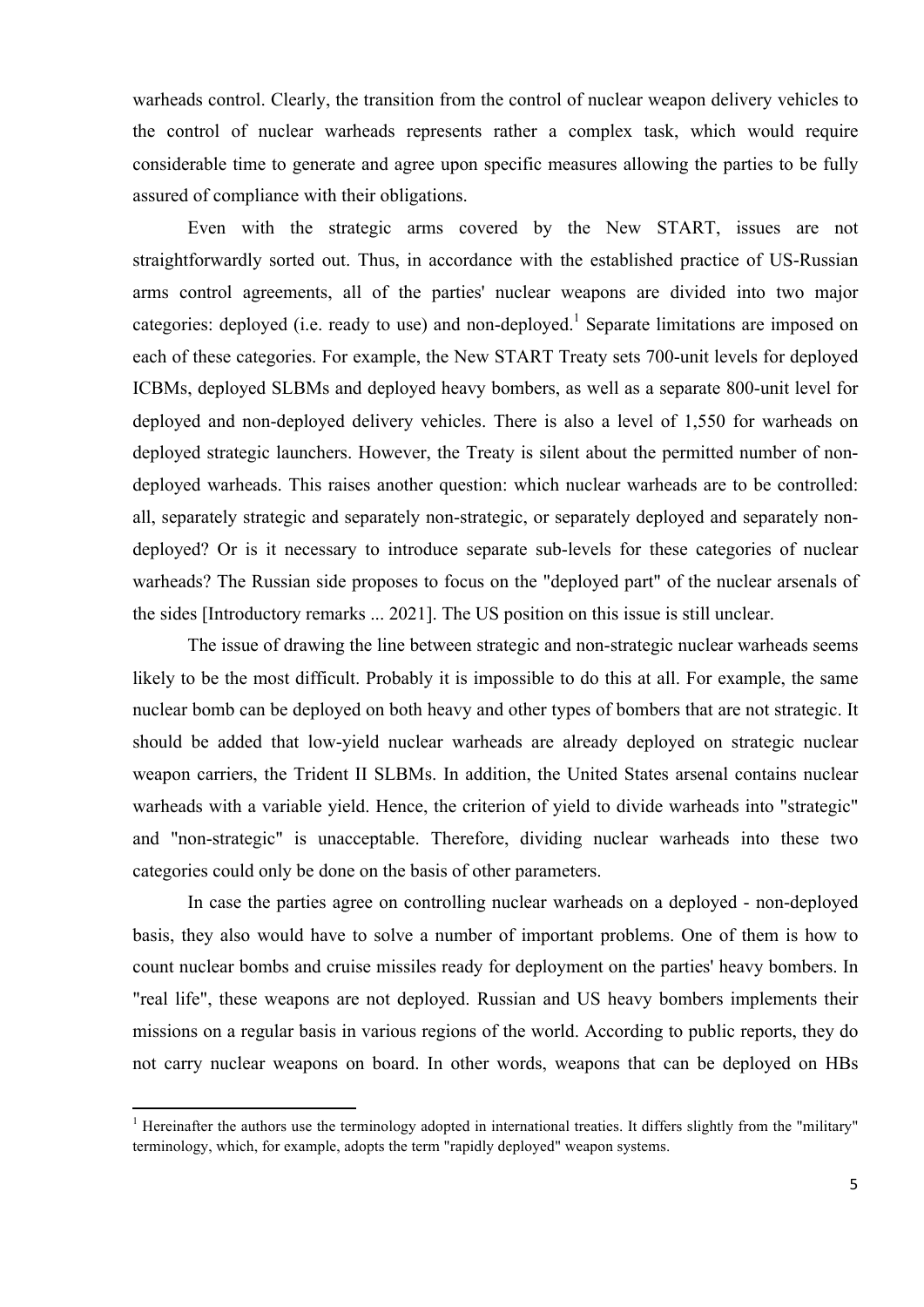warheads control. Clearly, the transition from the control of nuclear weapon delivery vehicles to the control of nuclear warheads represents rather a complex task, which would require considerable time to generate and agree upon specific measures allowing the parties to be fully assured of compliance with their obligations.

Even with the strategic arms covered by the New START, issues are not straightforwardly sorted out. Thus, in accordance with the established practice of US-Russian arms control agreements, all of the parties' nuclear weapons are divided into two major categories: deployed (i.e. ready to use) and non-deployed.<sup>1</sup> Separate limitations are imposed on each of these categories. For example, the New START Treaty sets 700-unit levels for deployed ICBMs, deployed SLBMs and deployed heavy bombers, as well as a separate 800-unit level for deployed and non-deployed delivery vehicles. There is also a level of 1,550 for warheads on deployed strategic launchers. However, the Treaty is silent about the permitted number of nondeployed warheads. This raises another question: which nuclear warheads are to be controlled: all, separately strategic and separately non-strategic, or separately deployed and separately nondeployed? Or is it necessary to introduce separate sub-levels for these categories of nuclear warheads? The Russian side proposes to focus on the "deployed part" of the nuclear arsenals of the sides [Introductory remarks ... 2021]. The US position on this issue is still unclear.

The issue of drawing the line between strategic and non-strategic nuclear warheads seems likely to be the most difficult. Probably it is impossible to do this at all. For example, the same nuclear bomb can be deployed on both heavy and other types of bombers that are not strategic. It should be added that low-yield nuclear warheads are already deployed on strategic nuclear weapon carriers, the Trident II SLBMs. In addition, the United States arsenal contains nuclear warheads with a variable yield. Hence, the criterion of yield to divide warheads into "strategic" and "non-strategic" is unacceptable. Therefore, dividing nuclear warheads into these two categories could only be done on the basis of other parameters.

In case the parties agree on controlling nuclear warheads on a deployed - non-deployed basis, they also would have to solve a number of important problems. One of them is how to count nuclear bombs and cruise missiles ready for deployment on the parties' heavy bombers. In "real life", these weapons are not deployed. Russian and US heavy bombers implements their missions on a regular basis in various regions of the world. According to public reports, they do not carry nuclear weapons on board. In other words, weapons that can be deployed on HBs

<u> Andreas Andreas Andreas Andreas Andreas Andreas Andreas Andreas Andreas Andreas Andreas Andreas Andreas Andreas</u>

 $<sup>1</sup>$  Hereinafter the authors use the terminology adopted in international treaties. It differs slightly from the "military"</sup> terminology, which, for example, adopts the term "rapidly deployed" weapon systems.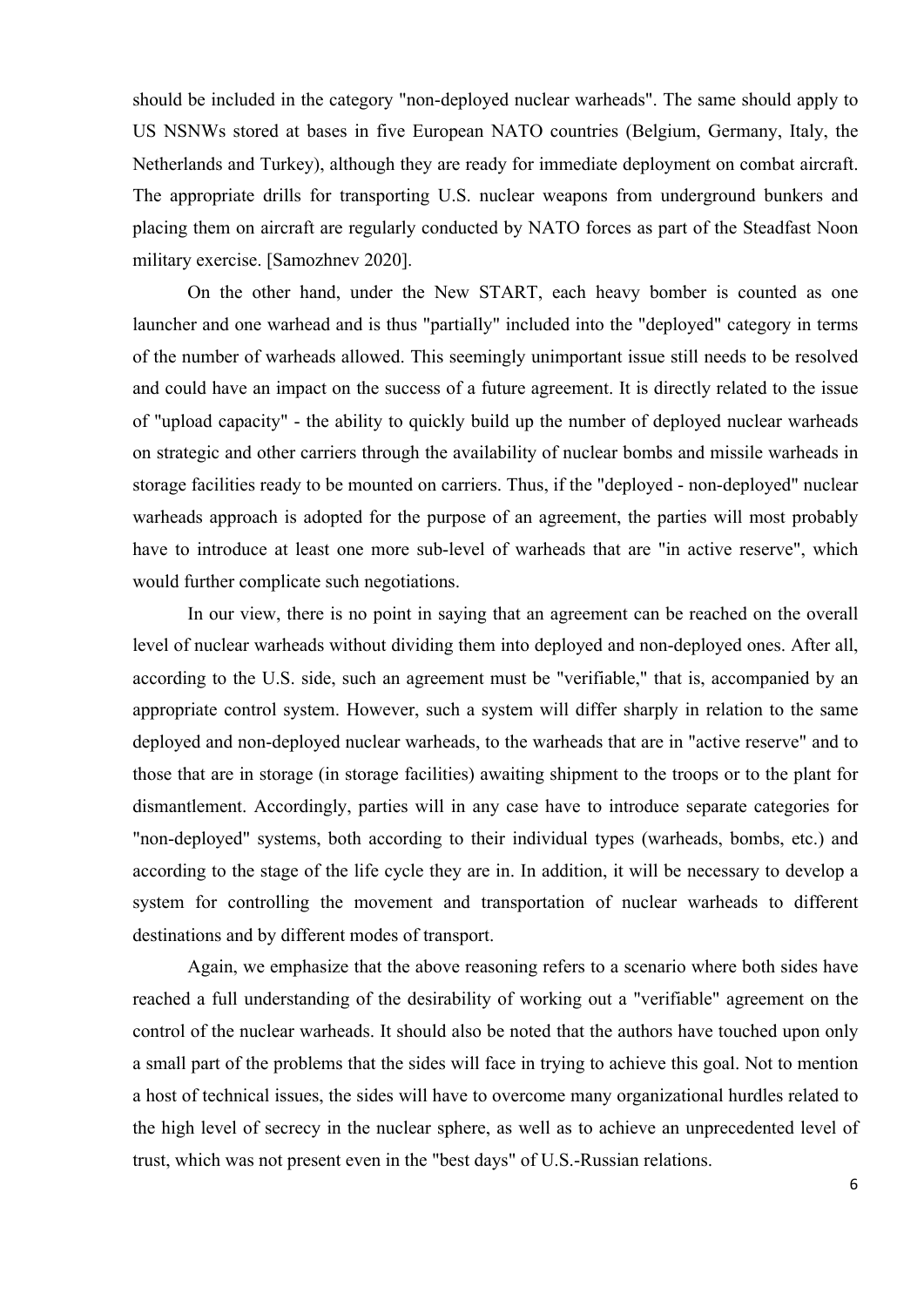should be included in the category "non-deployed nuclear warheads". The same should apply to US NSNWs stored at bases in five European NATO countries (Belgium, Germany, Italy, the Netherlands and Turkey), although they are ready for immediate deployment on combat aircraft. The appropriate drills for transporting U.S. nuclear weapons from underground bunkers and placing them on aircraft are regularly conducted by NATO forces as part of the Steadfast Noon military exercise. [Samozhnev 2020].

On the other hand, under the New START, each heavy bomber is counted as one launcher and one warhead and is thus "partially" included into the "deployed" category in terms of the number of warheads allowed. This seemingly unimportant issue still needs to be resolved and could have an impact on the success of a future agreement. It is directly related to the issue of "upload capacity" - the ability to quickly build up the number of deployed nuclear warheads on strategic and other carriers through the availability of nuclear bombs and missile warheads in storage facilities ready to be mounted on carriers. Thus, if the "deployed - non-deployed" nuclear warheads approach is adopted for the purpose of an agreement, the parties will most probably have to introduce at least one more sub-level of warheads that are "in active reserve", which would further complicate such negotiations.

In our view, there is no point in saying that an agreement can be reached on the overall level of nuclear warheads without dividing them into deployed and non-deployed ones. After all, according to the U.S. side, such an agreement must be "verifiable," that is, accompanied by an appropriate control system. However, such a system will differ sharply in relation to the same deployed and non-deployed nuclear warheads, to the warheads that are in "active reserve" and to those that are in storage (in storage facilities) awaiting shipment to the troops or to the plant for dismantlement. Accordingly, parties will in any case have to introduce separate categories for "non-deployed" systems, both according to their individual types (warheads, bombs, etc.) and according to the stage of the life cycle they are in. In addition, it will be necessary to develop a system for controlling the movement and transportation of nuclear warheads to different destinations and by different modes of transport.

Again, we emphasize that the above reasoning refers to a scenario where both sides have reached a full understanding of the desirability of working out a "verifiable" agreement on the control of the nuclear warheads. It should also be noted that the authors have touched upon only a small part of the problems that the sides will face in trying to achieve this goal. Not to mention a host of technical issues, the sides will have to overcome many organizational hurdles related to the high level of secrecy in the nuclear sphere, as well as to achieve an unprecedented level of trust, which was not present even in the "best days" of U.S.-Russian relations.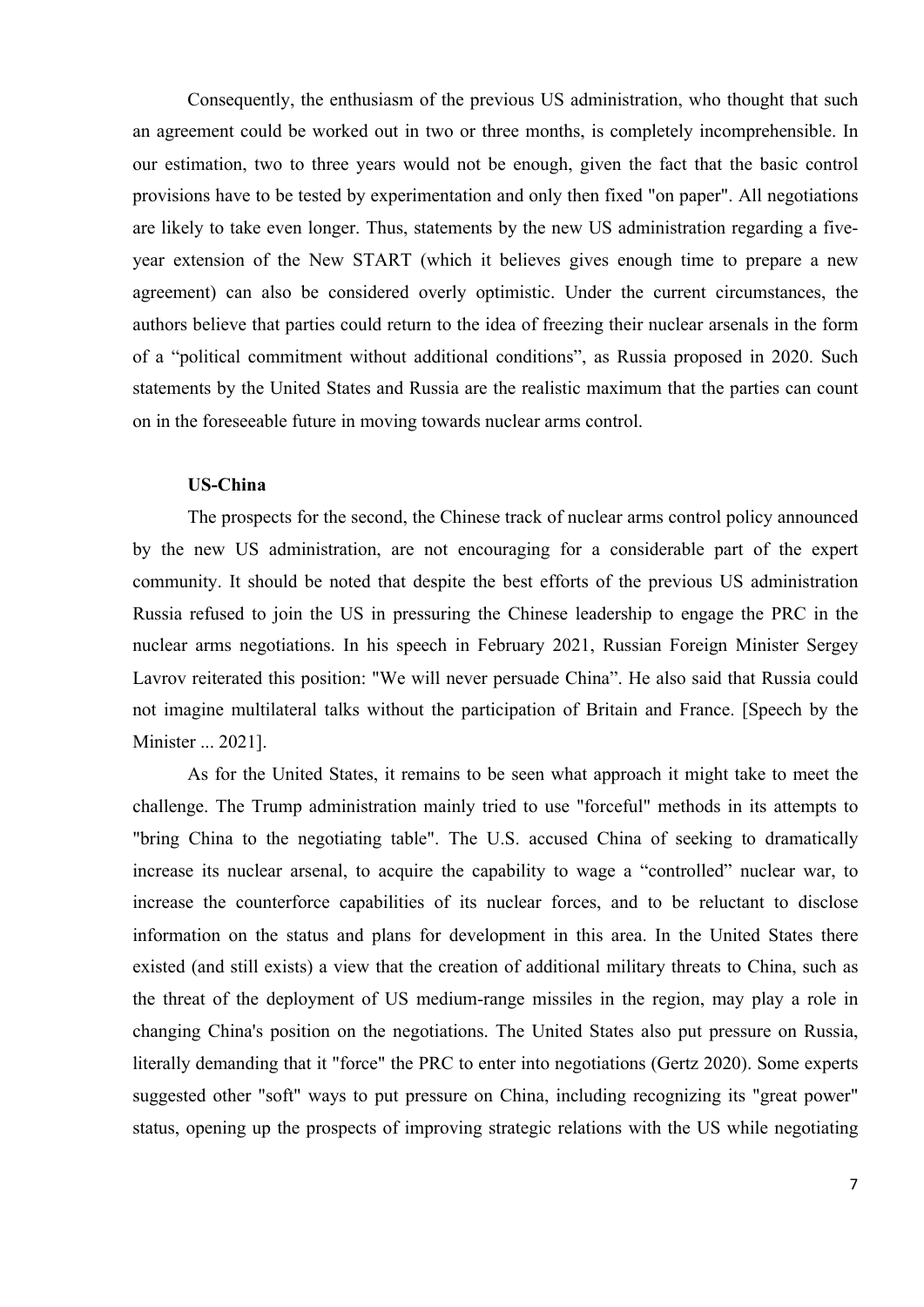Consequently, the enthusiasm of the previous US administration, who thought that such an agreement could be worked out in two or three months, is completely incomprehensible. In our estimation, two to three years would not be enough, given the fact that the basic control provisions have to be tested by experimentation and only then fixed "on paper". All negotiations are likely to take even longer. Thus, statements by the new US administration regarding a fiveyear extension of the New START (which it believes gives enough time to prepare a new agreement) can also be considered overly optimistic. Under the current circumstances, the authors believe that parties could return to the idea of freezing their nuclear arsenals in the form of a "political commitment without additional conditions", as Russia proposed in 2020. Such statements by the United States and Russia are the realistic maximum that the parties can count on in the foreseeable future in moving towards nuclear arms control.

## **US-China**

The prospects for the second, the Chinese track of nuclear arms control policy announced by the new US administration, are not encouraging for a considerable part of the expert community. It should be noted that despite the best efforts of the previous US administration Russia refused to join the US in pressuring the Chinese leadership to engage the PRC in the nuclear arms negotiations. In his speech in February 2021, Russian Foreign Minister Sergey Lavrov reiterated this position: "We will never persuade China". He also said that Russia could not imagine multilateral talks without the participation of Britain and France. [Speech by the Minister ... 2021].

As for the United States, it remains to be seen what approach it might take to meet the challenge. The Trump administration mainly tried to use "forceful" methods in its attempts to "bring China to the negotiating table". The U.S. accused China of seeking to dramatically increase its nuclear arsenal, to acquire the capability to wage a "controlled" nuclear war, to increase the counterforce capabilities of its nuclear forces, and to be reluctant to disclose information on the status and plans for development in this area. In the United States there existed (and still exists) a view that the creation of additional military threats to China, such as the threat of the deployment of US medium-range missiles in the region, may play a role in changing China's position on the negotiations. The United States also put pressure on Russia, literally demanding that it "force" the PRC to enter into negotiations (Gertz 2020). Some experts suggested other "soft" ways to put pressure on China, including recognizing its "great power" status, opening up the prospects of improving strategic relations with the US while negotiating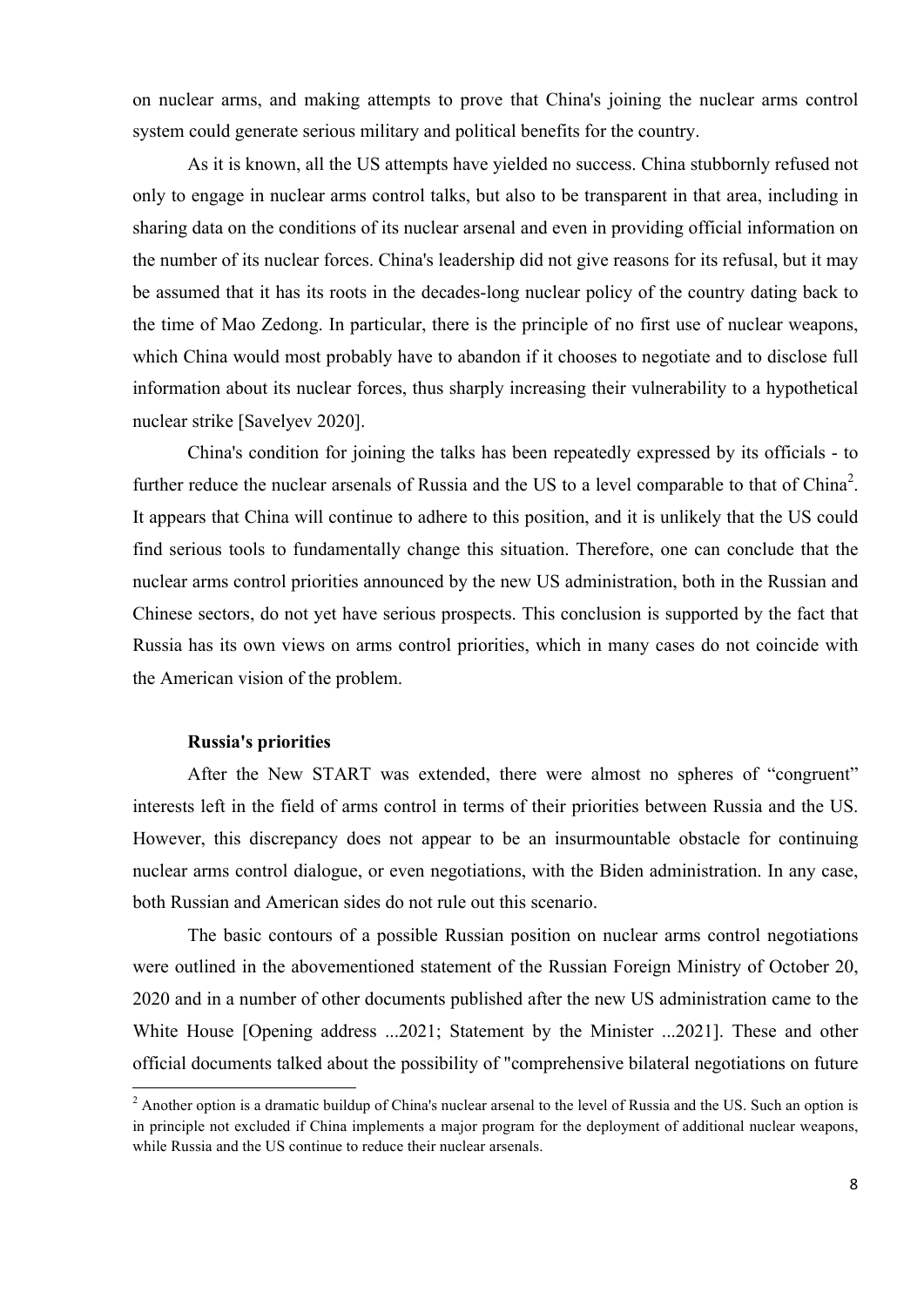on nuclear arms, and making attempts to prove that China's joining the nuclear arms control system could generate serious military and political benefits for the country.

As it is known, all the US attempts have yielded no success. China stubbornly refused not only to engage in nuclear arms control talks, but also to be transparent in that area, including in sharing data on the conditions of its nuclear arsenal and even in providing official information on the number of its nuclear forces. China's leadership did not give reasons for its refusal, but it may be assumed that it has its roots in the decades-long nuclear policy of the country dating back to the time of Mao Zedong. In particular, there is the principle of no first use of nuclear weapons, which China would most probably have to abandon if it chooses to negotiate and to disclose full information about its nuclear forces, thus sharply increasing their vulnerability to a hypothetical nuclear strike [Savelyev 2020].

China's condition for joining the talks has been repeatedly expressed by its officials - to further reduce the nuclear arsenals of Russia and the US to a level comparable to that of China<sup>2</sup>. It appears that China will continue to adhere to this position, and it is unlikely that the US could find serious tools to fundamentally change this situation. Therefore, one can conclude that the nuclear arms control priorities announced by the new US administration, both in the Russian and Chinese sectors, do not yet have serious prospects. This conclusion is supported by the fact that Russia has its own views on arms control priorities, which in many cases do not coincide with the American vision of the problem.

# **Russia's priorities**

<u> Andreas Andreas Andreas Andreas Andreas Andreas Andreas Andreas Andreas Andreas Andreas Andreas Andreas Andreas</u>

After the New START was extended, there were almost no spheres of "congruent" interests left in the field of arms control in terms of their priorities between Russia and the US. However, this discrepancy does not appear to be an insurmountable obstacle for continuing nuclear arms control dialogue, or even negotiations, with the Biden administration. In any case, both Russian and American sides do not rule out this scenario.

The basic contours of a possible Russian position on nuclear arms control negotiations were outlined in the abovementioned statement of the Russian Foreign Ministry of October 20, 2020 and in a number of other documents published after the new US administration came to the White House [Opening address ...2021; Statement by the Minister ...2021]. These and other official documents talked about the possibility of "comprehensive bilateral negotiations on future

 $2$  Another option is a dramatic buildup of China's nuclear arsenal to the level of Russia and the US. Such an option is in principle not excluded if China implements a major program for the deployment of additional nuclear weapons, while Russia and the US continue to reduce their nuclear arsenals.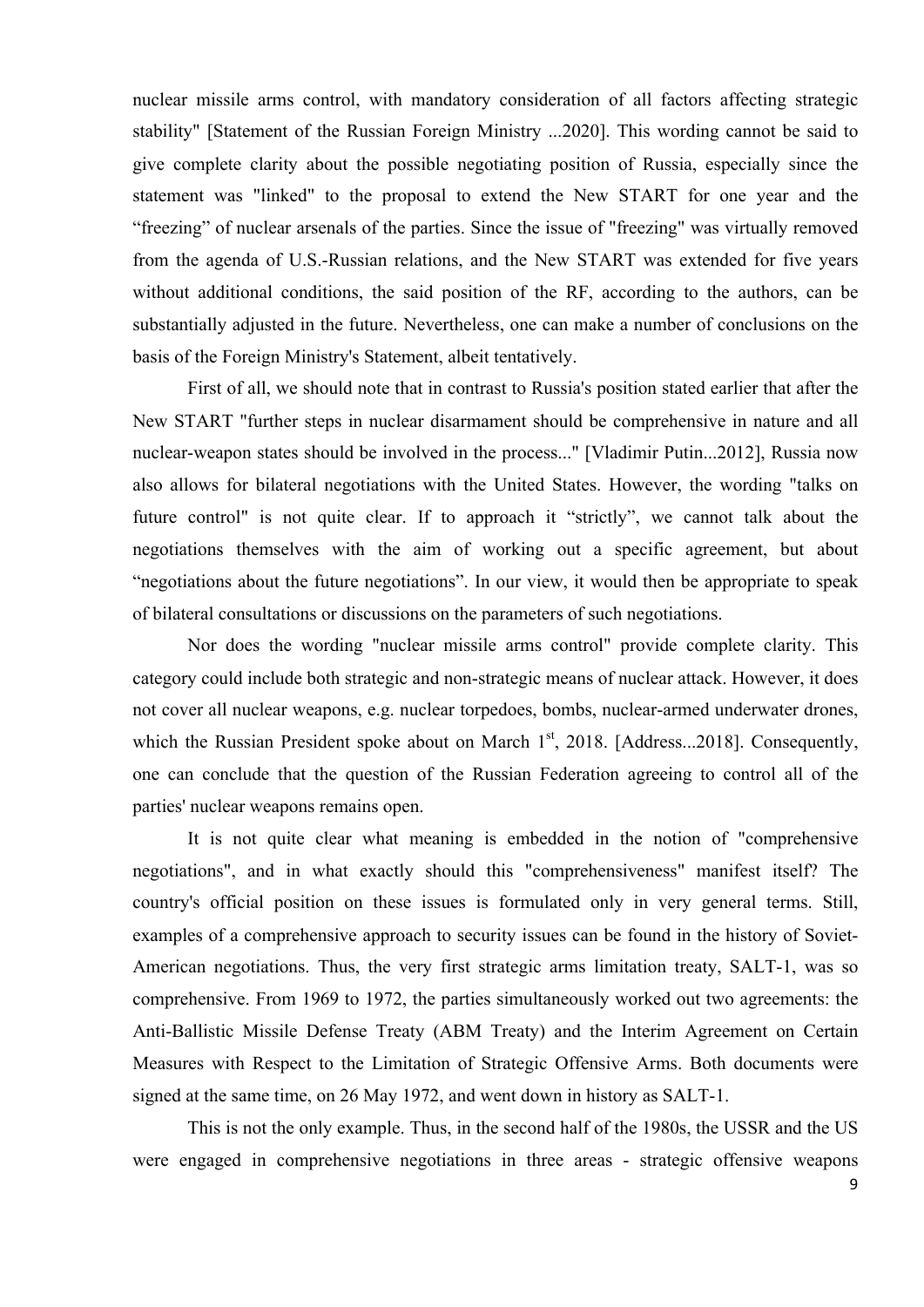nuclear missile arms control, with mandatory consideration of all factors affecting strategic stability" [Statement of the Russian Foreign Ministry ...2020]. This wording cannot be said to give complete clarity about the possible negotiating position of Russia, especially since the statement was "linked" to the proposal to extend the New START for one year and the "freezing" of nuclear arsenals of the parties. Since the issue of "freezing" was virtually removed from the agenda of U.S.-Russian relations, and the New START was extended for five years without additional conditions, the said position of the RF, according to the authors, can be substantially adjusted in the future. Nevertheless, one can make a number of conclusions on the basis of the Foreign Ministry's Statement, albeit tentatively.

First of all, we should note that in contrast to Russia's position stated earlier that after the New START "further steps in nuclear disarmament should be comprehensive in nature and all nuclear-weapon states should be involved in the process..." [Vladimir Putin...2012], Russia now also allows for bilateral negotiations with the United States. However, the wording "talks on future control" is not quite clear. If to approach it "strictly", we cannot talk about the negotiations themselves with the aim of working out a specific agreement, but about "negotiations about the future negotiations". In our view, it would then be appropriate to speak of bilateral consultations or discussions on the parameters of such negotiations.

Nor does the wording "nuclear missile arms control" provide complete clarity. This category could include both strategic and non-strategic means of nuclear attack. However, it does not cover all nuclear weapons, e.g. nuclear torpedoes, bombs, nuclear-armed underwater drones, which the Russian President spoke about on March  $1<sup>st</sup>$ , 2018. [Address...2018]. Consequently, one can conclude that the question of the Russian Federation agreeing to control all of the parties' nuclear weapons remains open.

It is not quite clear what meaning is embedded in the notion of "comprehensive negotiations", and in what exactly should this "comprehensiveness" manifest itself? The country's official position on these issues is formulated only in very general terms. Still, examples of a comprehensive approach to security issues can be found in the history of Soviet-American negotiations. Thus, the very first strategic arms limitation treaty, SALT-1, was so comprehensive. From 1969 to 1972, the parties simultaneously worked out two agreements: the Anti-Ballistic Missile Defense Treaty (ABM Treaty) and the Interim Agreement on Certain Measures with Respect to the Limitation of Strategic Offensive Arms. Both documents were signed at the same time, on 26 May 1972, and went down in history as SALT-1.

This is not the only example. Thus, in the second half of the 1980s, the USSR and the US were engaged in comprehensive negotiations in three areas - strategic offensive weapons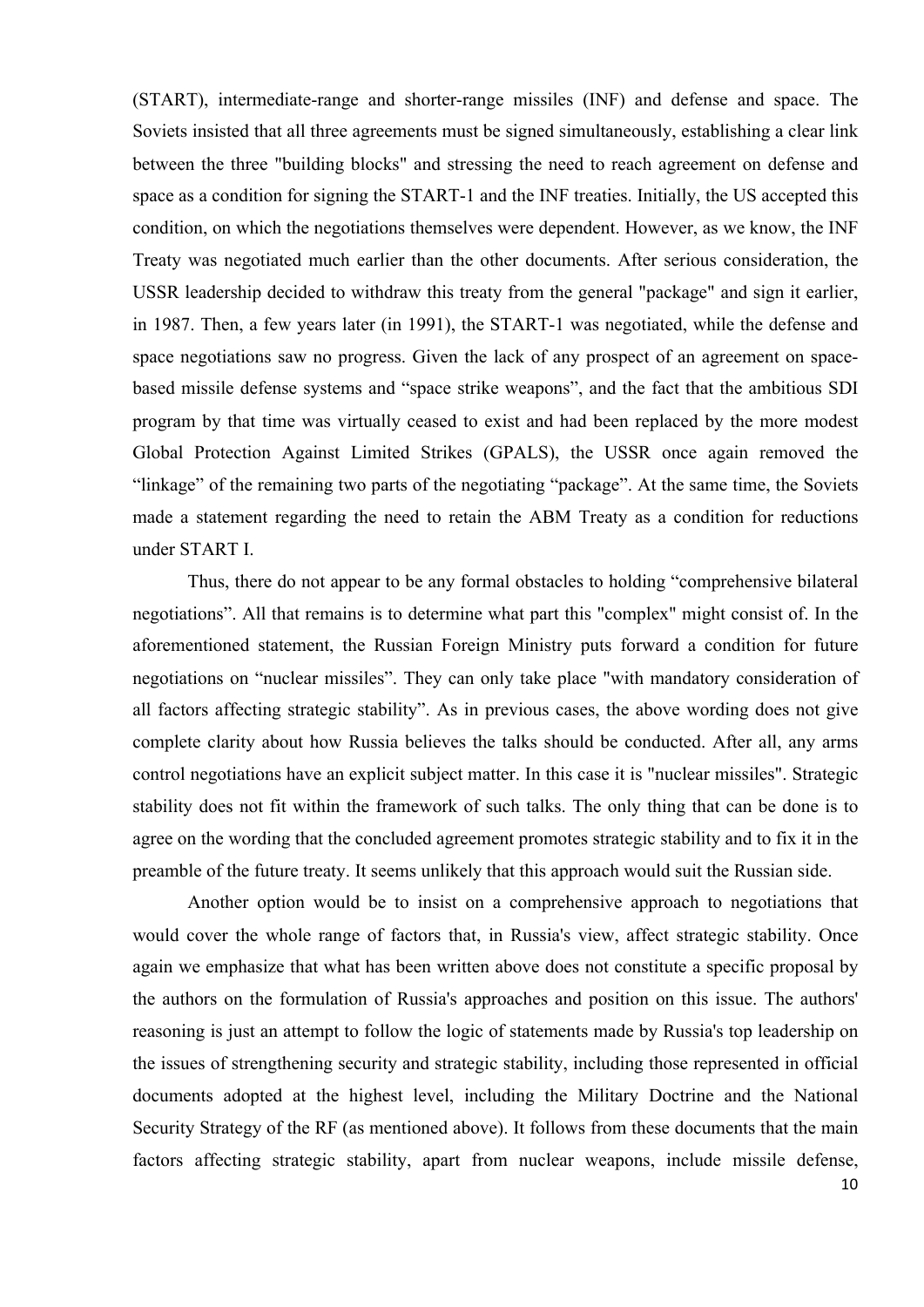(START), intermediate-range and shorter-range missiles (INF) and defense and space. The Soviets insisted that all three agreements must be signed simultaneously, establishing a clear link between the three "building blocks" and stressing the need to reach agreement on defense and space as a condition for signing the START-1 and the INF treaties. Initially, the US accepted this condition, on which the negotiations themselves were dependent. However, as we know, the INF Treaty was negotiated much earlier than the other documents. After serious consideration, the USSR leadership decided to withdraw this treaty from the general "package" and sign it earlier, in 1987. Then, a few years later (in 1991), the START-1 was negotiated, while the defense and space negotiations saw no progress. Given the lack of any prospect of an agreement on spacebased missile defense systems and "space strike weapons", and the fact that the ambitious SDI program by that time was virtually ceased to exist and had been replaced by the more modest Global Protection Against Limited Strikes (GPALS), the USSR once again removed the "linkage" of the remaining two parts of the negotiating "package". At the same time, the Soviets made a statement regarding the need to retain the ABM Treaty as a condition for reductions under START I.

Thus, there do not appear to be any formal obstacles to holding "comprehensive bilateral negotiations". All that remains is to determine what part this "complex" might consist of. In the aforementioned statement, the Russian Foreign Ministry puts forward a condition for future negotiations on "nuclear missiles". They can only take place "with mandatory consideration of all factors affecting strategic stability". As in previous cases, the above wording does not give complete clarity about how Russia believes the talks should be conducted. After all, any arms control negotiations have an explicit subject matter. In this case it is "nuclear missiles". Strategic stability does not fit within the framework of such talks. The only thing that can be done is to agree on the wording that the concluded agreement promotes strategic stability and to fix it in the preamble of the future treaty. It seems unlikely that this approach would suit the Russian side.

Another option would be to insist on a comprehensive approach to negotiations that would cover the whole range of factors that, in Russia's view, affect strategic stability. Once again we emphasize that what has been written above does not constitute a specific proposal by the authors on the formulation of Russia's approaches and position on this issue. The authors' reasoning is just an attempt to follow the logic of statements made by Russia's top leadership on the issues of strengthening security and strategic stability, including those represented in official documents adopted at the highest level, including the Military Doctrine and the National Security Strategy of the RF (as mentioned above). It follows from these documents that the main factors affecting strategic stability, apart from nuclear weapons, include missile defense,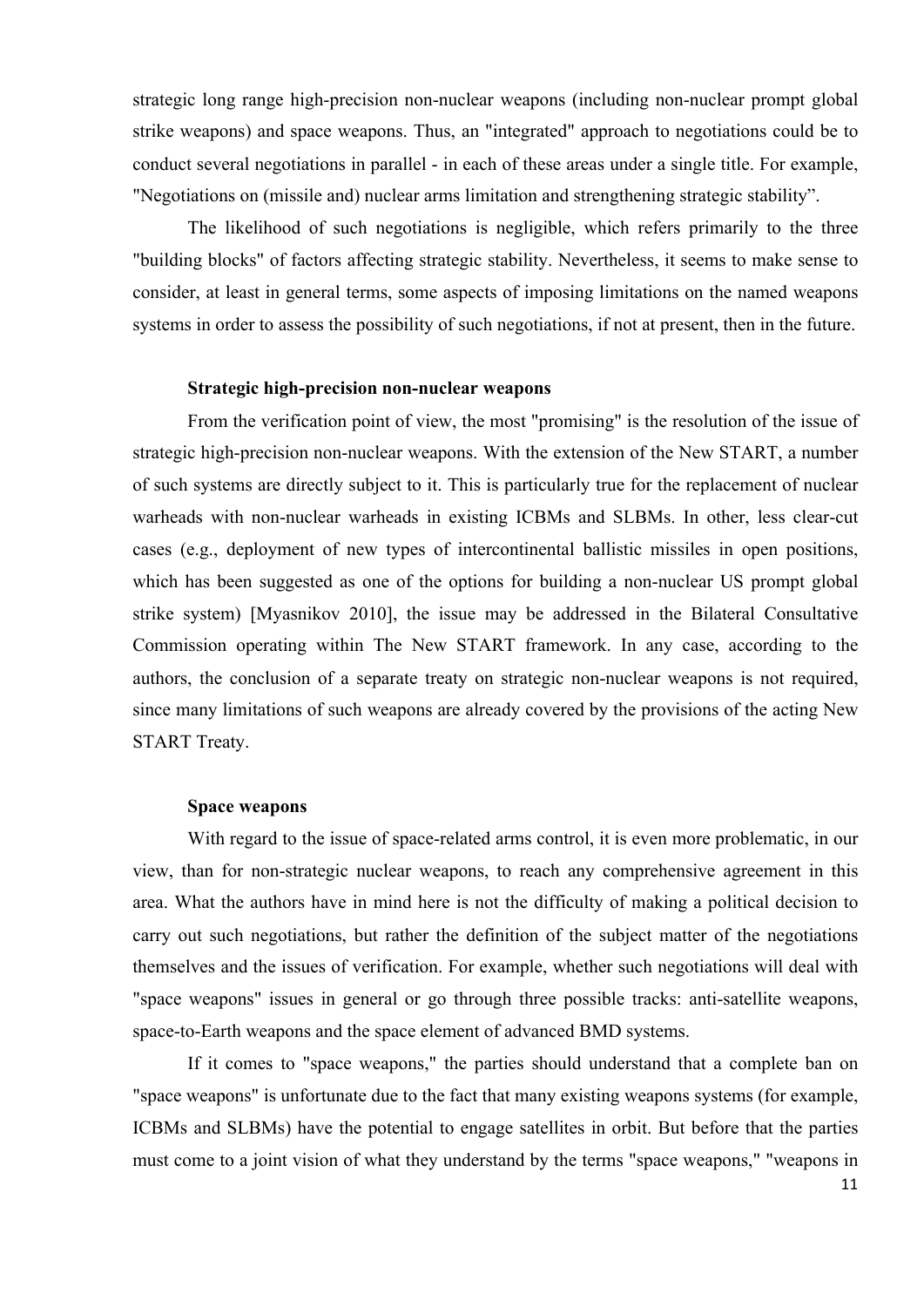strategic long range high-precision non-nuclear weapons (including non-nuclear prompt global strike weapons) and space weapons. Thus, an "integrated" approach to negotiations could be to conduct several negotiations in parallel - in each of these areas under a single title. For example, "Negotiations on (missile and) nuclear arms limitation and strengthening strategic stability".

The likelihood of such negotiations is negligible, which refers primarily to the three "building blocks" of factors affecting strategic stability. Nevertheless, it seems to make sense to consider, at least in general terms, some aspects of imposing limitations on the named weapons systems in order to assess the possibility of such negotiations, if not at present, then in the future.

## **Strategic high-precision non-nuclear weapons**

From the verification point of view, the most "promising" is the resolution of the issue of strategic high-precision non-nuclear weapons. With the extension of the New START, a number of such systems are directly subject to it. This is particularly true for the replacement of nuclear warheads with non-nuclear warheads in existing ICBMs and SLBMs. In other, less clear-cut cases (e.g., deployment of new types of intercontinental ballistic missiles in open positions, which has been suggested as one of the options for building a non-nuclear US prompt global strike system) [Myasnikov 2010], the issue may be addressed in the Bilateral Consultative Commission operating within The New START framework. In any case, according to the authors, the conclusion of a separate treaty on strategic non-nuclear weapons is not required, since many limitations of such weapons are already covered by the provisions of the acting New START Treaty.

## **Space weapons**

With regard to the issue of space-related arms control, it is even more problematic, in our view, than for non-strategic nuclear weapons, to reach any comprehensive agreement in this area. What the authors have in mind here is not the difficulty of making a political decision to carry out such negotiations, but rather the definition of the subject matter of the negotiations themselves and the issues of verification. For example, whether such negotiations will deal with "space weapons" issues in general or go through three possible tracks: anti-satellite weapons, space-to-Earth weapons and the space element of advanced BMD systems.

If it comes to "space weapons," the parties should understand that a complete ban on "space weapons" is unfortunate due to the fact that many existing weapons systems (for example, ICBMs and SLBMs) have the potential to engage satellites in orbit. But before that the parties must come to a joint vision of what they understand by the terms "space weapons," "weapons in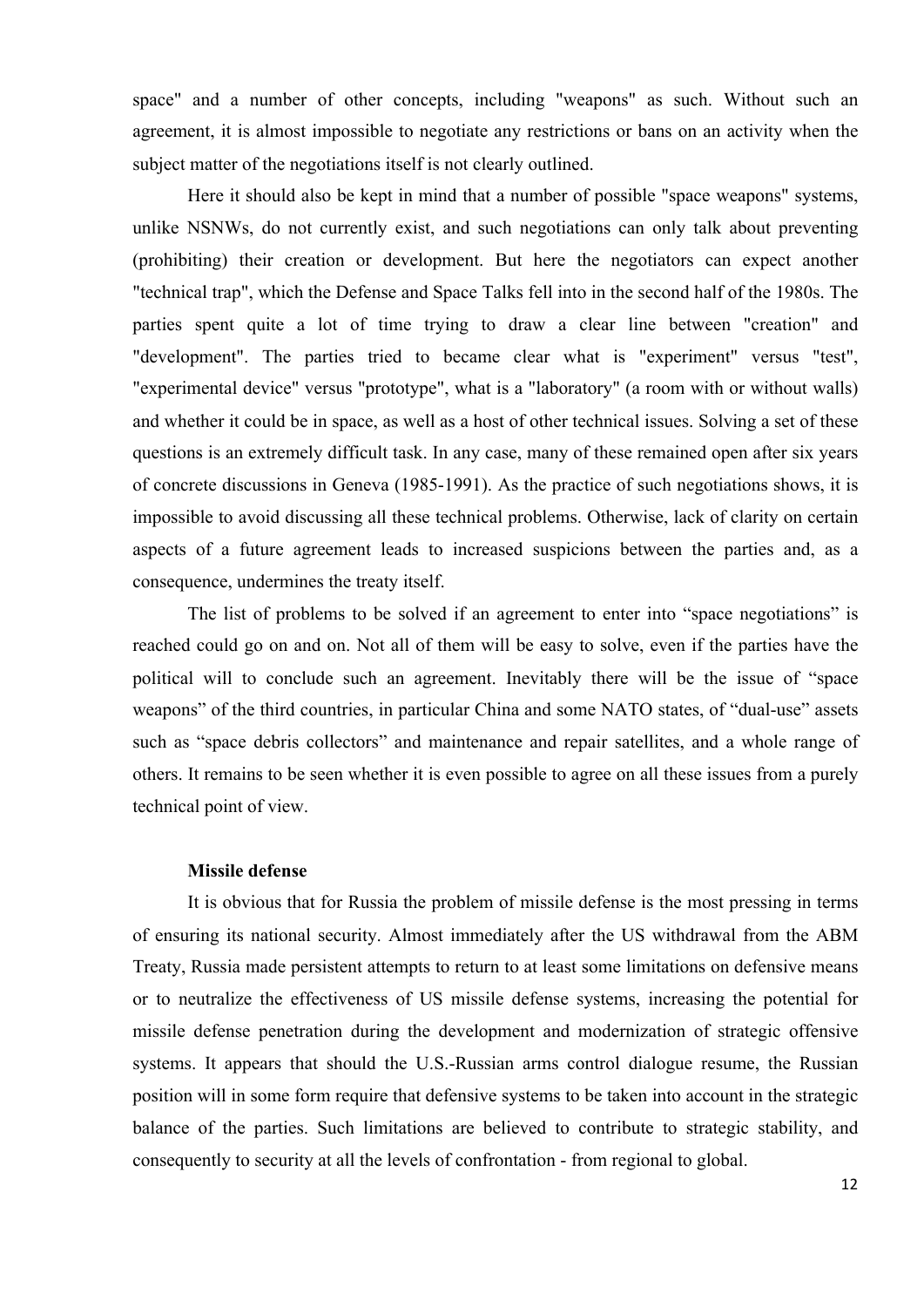space" and a number of other concepts, including "weapons" as such. Without such an agreement, it is almost impossible to negotiate any restrictions or bans on an activity when the subject matter of the negotiations itself is not clearly outlined.

Here it should also be kept in mind that a number of possible "space weapons" systems, unlike NSNWs, do not currently exist, and such negotiations can only talk about preventing (prohibiting) their creation or development. But here the negotiators can expect another "technical trap", which the Defense and Space Talks fell into in the second half of the 1980s. The parties spent quite a lot of time trying to draw a clear line between "creation" and "development". The parties tried to became clear what is "experiment" versus "test", "experimental device" versus "prototype", what is a "laboratory" (a room with or without walls) and whether it could be in space, as well as a host of other technical issues. Solving a set of these questions is an extremely difficult task. In any case, many of these remained open after six years of concrete discussions in Geneva (1985-1991). As the practice of such negotiations shows, it is impossible to avoid discussing all these technical problems. Otherwise, lack of clarity on certain aspects of a future agreement leads to increased suspicions between the parties and, as a consequence, undermines the treaty itself.

The list of problems to be solved if an agreement to enter into "space negotiations" is reached could go on and on. Not all of them will be easy to solve, even if the parties have the political will to conclude such an agreement. Inevitably there will be the issue of "space weapons" of the third countries, in particular China and some NATO states, of "dual-use" assets such as "space debris collectors" and maintenance and repair satellites, and a whole range of others. It remains to be seen whether it is even possible to agree on all these issues from a purely technical point of view.

#### **Missile defense**

It is obvious that for Russia the problem of missile defense is the most pressing in terms of ensuring its national security. Almost immediately after the US withdrawal from the ABM Treaty, Russia made persistent attempts to return to at least some limitations on defensive means or to neutralize the effectiveness of US missile defense systems, increasing the potential for missile defense penetration during the development and modernization of strategic offensive systems. It appears that should the U.S.-Russian arms control dialogue resume, the Russian position will in some form require that defensive systems to be taken into account in the strategic balance of the parties. Such limitations are believed to contribute to strategic stability, and consequently to security at all the levels of confrontation - from regional to global.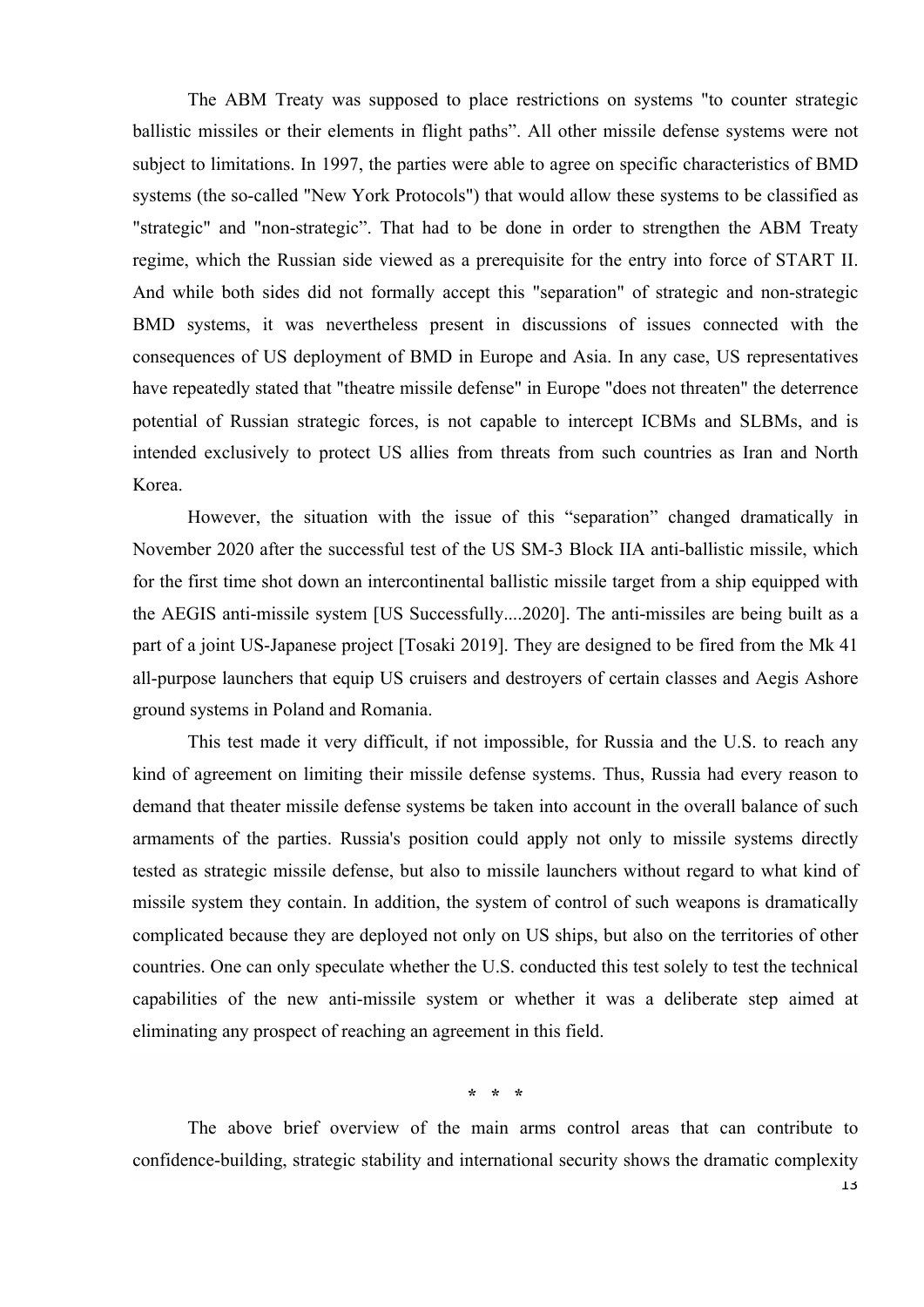The ABM Treaty was supposed to place restrictions on systems "to counter strategic ballistic missiles or their elements in flight paths". All other missile defense systems were not subject to limitations. In 1997, the parties were able to agree on specific characteristics of BMD systems (the so-called "New York Protocols") that would allow these systems to be classified as "strategic" and "non-strategic". That had to be done in order to strengthen the ABM Treaty regime, which the Russian side viewed as a prerequisite for the entry into force of START II. And while both sides did not formally accept this "separation" of strategic and non-strategic BMD systems, it was nevertheless present in discussions of issues connected with the consequences of US deployment of BMD in Europe and Asia. In any case, US representatives have repeatedly stated that "theatre missile defense" in Europe "does not threaten" the deterrence potential of Russian strategic forces, is not capable to intercept ICBMs and SLBMs, and is intended exclusively to protect US allies from threats from such countries as Iran and North Korea.

However, the situation with the issue of this "separation" changed dramatically in November 2020 after the successful test of the US SM-3 Block IIA anti-ballistic missile, which for the first time shot down an intercontinental ballistic missile target from a ship equipped with the AEGIS anti-missile system [US Successfully....2020]. The anti-missiles are being built as a part of a joint US-Japanese project [Tosaki 2019]. They are designed to be fired from the Mk 41 all-purpose launchers that equip US cruisers and destroyers of certain classes and Aegis Ashore ground systems in Poland and Romania.

This test made it very difficult, if not impossible, for Russia and the U.S. to reach any kind of agreement on limiting their missile defense systems. Thus, Russia had every reason to demand that theater missile defense systems be taken into account in the overall balance of such armaments of the parties. Russia's position could apply not only to missile systems directly tested as strategic missile defense, but also to missile launchers without regard to what kind of missile system they contain. In addition, the system of control of such weapons is dramatically complicated because they are deployed not only on US ships, but also on the territories of other countries. One can only speculate whether the U.S. conducted this test solely to test the technical capabilities of the new anti-missile system or whether it was a deliberate step aimed at eliminating any prospect of reaching an agreement in this field.

**\* \* \***

The above brief overview of the main arms control areas that can contribute to confidence-building, strategic stability and international security shows the dramatic complexity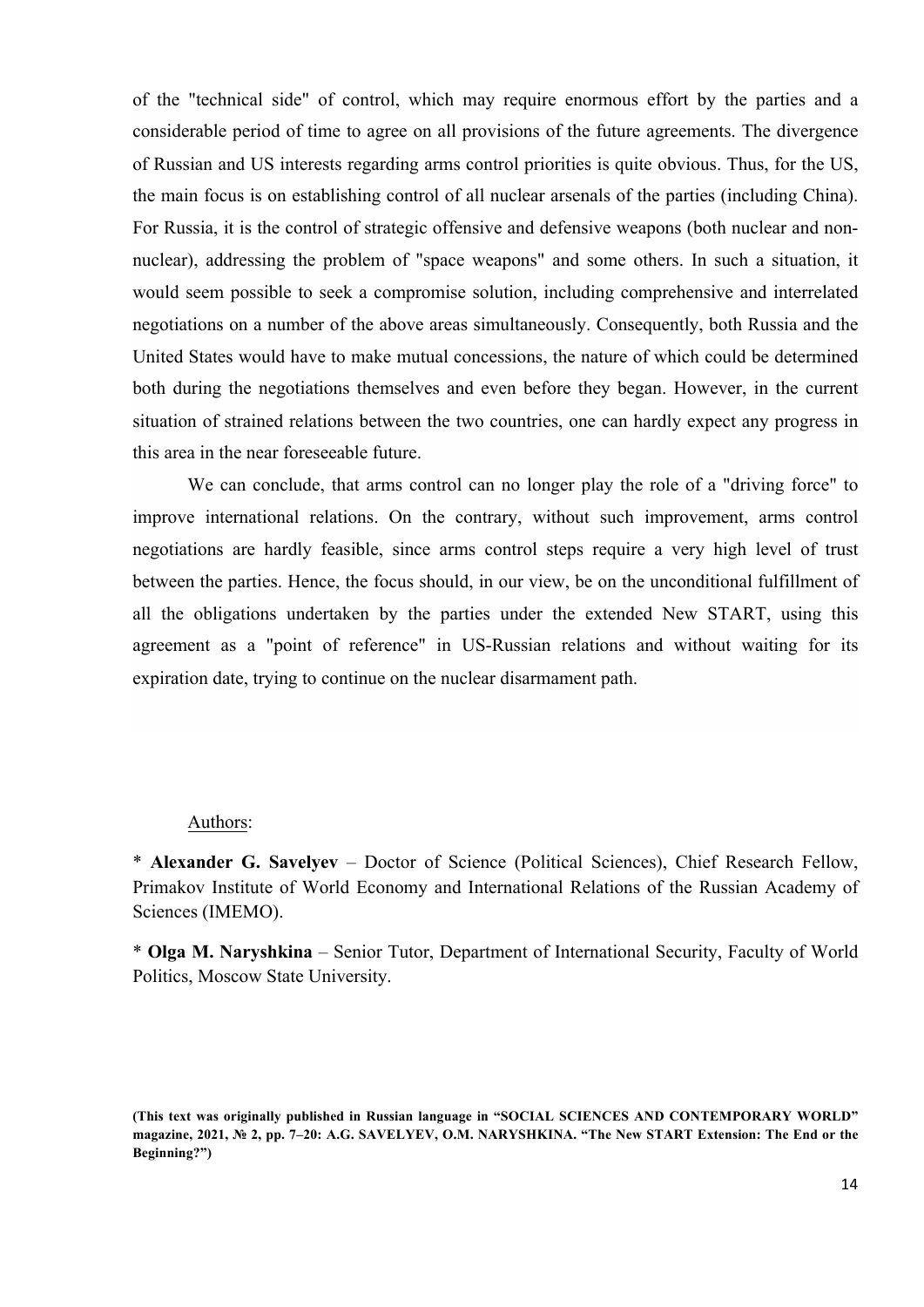of the "technical side" of control, which may require enormous effort by the parties and a considerable period of time to agree on all provisions of the future agreements. The divergence of Russian and US interests regarding arms control priorities is quite obvious. Thus, for the US, the main focus is on establishing control of all nuclear arsenals of the parties (including China). For Russia, it is the control of strategic offensive and defensive weapons (both nuclear and nonnuclear), addressing the problem of "space weapons" and some others. In such a situation, it would seem possible to seek a compromise solution, including comprehensive and interrelated negotiations on a number of the above areas simultaneously. Consequently, both Russia and the United States would have to make mutual concessions, the nature of which could be determined both during the negotiations themselves and even before they began. However, in the current situation of strained relations between the two countries, one can hardly expect any progress in this area in the near foreseeable future.

We can conclude, that arms control can no longer play the role of a "driving force" to improve international relations. On the contrary, without such improvement, arms control negotiations are hardly feasible, since arms control steps require a very high level of trust between the parties. Hence, the focus should, in our view, be on the unconditional fulfillment of all the obligations undertaken by the parties under the extended New START, using this agreement as a "point of reference" in US-Russian relations and without waiting for its expiration date, trying to continue on the nuclear disarmament path.

### Authors:

\* **Alexander G. Savelyev** – Doctor of Science (Political Sciences), Chief Research Fellow, Primakov Institute of World Economy and International Relations of the Russian Academy of Sciences (IMEMO).

\* **Olga M. Naryshkina** – Senior Tutor, Department of International Security, Faculty of World Politics, Moscow State University.

**<sup>(</sup>This text was originally published in Russian language in "SOCIAL SCIENCES AND CONTEMPORARY WORLD" magazine, 2021, № 2, pp. 7–20: A.G. SAVELYEV, O.M. NARYSHKINA. "The New START Extension: The End or the Beginning?")**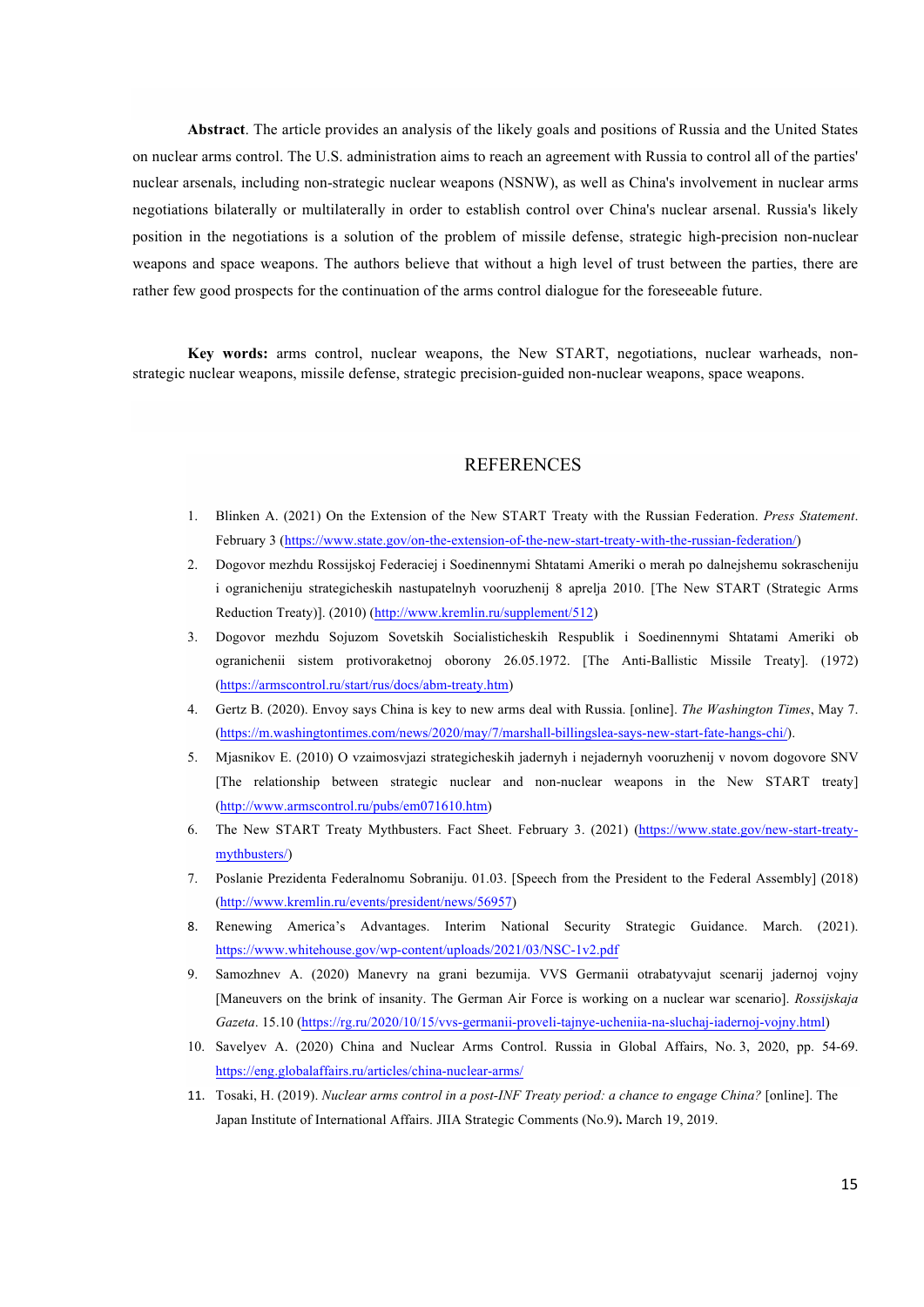**Abstract**. The article provides an analysis of the likely goals and positions of Russia and the United States on nuclear arms control. The U.S. administration aims to reach an agreement with Russia to control all of the parties' nuclear arsenals, including non-strategic nuclear weapons (NSNW), as well as China's involvement in nuclear arms negotiations bilaterally or multilaterally in order to establish control over China's nuclear arsenal. Russia's likely position in the negotiations is a solution of the problem of missile defense, strategic high-precision non-nuclear weapons and space weapons. The authors believe that without a high level of trust between the parties, there are rather few good prospects for the continuation of the arms control dialogue for the foreseeable future.

**Key words:** arms control, nuclear weapons, the New START, negotiations, nuclear warheads, nonstrategic nuclear weapons, missile defense, strategic precision-guided non-nuclear weapons, space weapons.

#### REFERENCES

- 1. Blinken A. (2021) On the Extension of the New START Treaty with the Russian Federation. *Press Statement*. February 3 (https://www.state.gov/on-the-extension-of-the-new-start-treaty-with-the-russian-federation/)
- 2. Dogovor mezhdu Rossijskoj Federaciej i Soedinennymi Shtatami Ameriki o merah po dalnejshemu sokrascheniju i ogranicheniju strategicheskih nastupatelnyh vooruzhenij 8 aprelja 2010. [The New START (Strategic Arms Reduction Treaty)]. (2010) (http://www.kremlin.ru/supplement/512)
- 3. Dogovor mezhdu Sojuzom Sovetskih Socialisticheskih Respublik i Soedinennymi Shtatami Ameriki ob ogranichenii sistem protivoraketnoj oborony 26.05.1972. [The Anti-Ballistic Missile Treaty]. (1972) (https://armscontrol.ru/start/rus/docs/abm-treaty.htm)
- 4. Gertz B. (2020). Envoy says China is key to new arms deal with Russia. [online]. *The Washington Times*, May 7. (https://m.washingtontimes.com/news/2020/may/7/marshall-billingslea-says-new-start-fate-hangs-chi/).
- 5. Mjasnikov E. (2010) O vzaimosvjazi strategicheskih jadernyh i nejadernyh vooruzhenij v novom dogovore SNV [The relationship between strategic nuclear and non-nuclear weapons in the New START treaty] (http://www.armscontrol.ru/pubs/em071610.htm)
- 6. The New START Treaty Mythbusters. Fact Sheet. February 3. (2021) (https://www.state.gov/new-start-treatymythbusters/)
- 7. Poslanie Prezidenta Federalnomu Sobraniju. 01.03. [Speech from the President to the Federal Assembly] (2018) (http://www.kremlin.ru/events/president/news/56957)
- 8. Renewing America's Advantages. Interim National Security Strategic Guidance. March. (2021). https://www.whitehouse.gov/wp-content/uploads/2021/03/NSC-1v2.pdf
- 9. Samozhnev A. (2020) Manevry na grani bezumija. VVS Germanii otrabatyvajut scenarij jadernoj vojny [Maneuvers on the brink of insanity. The German Air Force is working on a nuclear war scenario]. *Rossijskaja Gazeta*. 15.10 (https://rg.ru/2020/10/15/vvs-germanii-proveli-tajnye-ucheniia-na-sluchaj-iadernoj-vojny.html)
- 10. Savelyev A. (2020) China and Nuclear Arms Control. Russia in Global Affairs, No. 3, 2020, pp. 54-69. https://eng.globalaffairs.ru/articles/china-nuclear-arms/
- 11. Tosaki, H. (2019). *Nuclear arms control in a post-INF Treaty period: a chance to engage China?* [online]. The Japan Institute of International Affairs. JIIA Strategic Comments (No.9)**.** March 19, 2019.